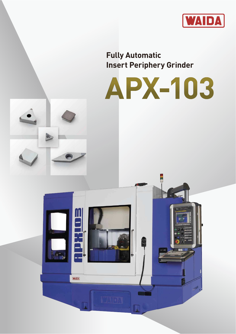

**Fully Automatic Insert Periphery Grinder**



Te

 $\overline{\phantom{a}}$ 

 $\mathbf{m}_i$ 



**WAIDA**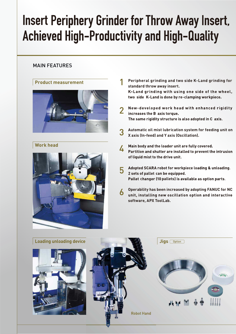# **Insert Periphery Grinder for Throw Away Insert, Achieved High-Productivity and High-Quality**

## MAIN FEATURES

### **Product measurement**



### **Work head**



- **Peripheral grinding and two side K-Land grinding for standard throw away insert.** K-Land grinding with using one side of the wheel, two side K-Land is done by re-clamping workpiece.
- New-developed work head with enhanced rigidity increases the B axis torque. The same rigidity structure is also adopted in C axis.
- **Automatic oil mist lubrication system for feeding unit on X axis (In-feed) and Y axis (Oscillation).**
- Main body and the loader unit are fully covered. 4 Partition and shutter are installed to prevent the intrusion of liquid mist to the drive unit.
- Adopted SCARA robot for workpiece loading & unloading. 5 2 sets of pallet can be equipped. changer (10 pallets
- **Operability has been increased by adopting FANUC for NC** unit, installing new oscillation option and interactive **software, APX ToolLab.**

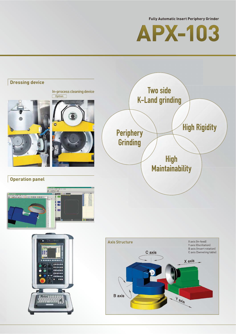**Fully Automatic Insert Periphery Grinder**